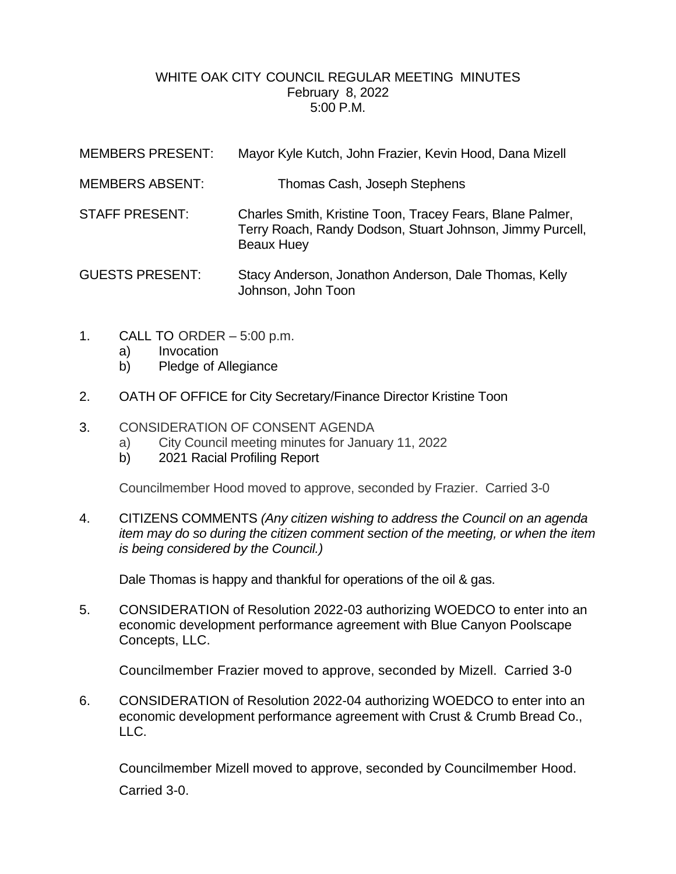## WHITE OAK CITY COUNCIL REGULAR MEETING MINUTES February 8, 2022 5:00 P.M.

| <b>MEMBERS PRESENT:</b> | Mayor Kyle Kutch, John Frazier, Kevin Hood, Dana Mizell                                                                                     |
|-------------------------|---------------------------------------------------------------------------------------------------------------------------------------------|
| <b>MEMBERS ABSENT:</b>  | Thomas Cash, Joseph Stephens                                                                                                                |
| <b>STAFF PRESENT:</b>   | Charles Smith, Kristine Toon, Tracey Fears, Blane Palmer,<br>Terry Roach, Randy Dodson, Stuart Johnson, Jimmy Purcell,<br><b>Beaux Huey</b> |
| <b>GUESTS PRESENT:</b>  | Stacy Anderson, Jonathon Anderson, Dale Thomas, Kelly<br>Johnson, John Toon                                                                 |

- 1. CALL TO ORDER 5:00 p.m.
	- a) Invocation
	- b) Pledge of Allegiance
- 2. OATH OF OFFICE for City Secretary/Finance Director Kristine Toon

## 3. CONSIDERATION OF CONSENT AGENDA

- a) City Council meeting minutes for January 11, 2022
- b) 2021 Racial Profiling Report

Councilmember Hood moved to approve, seconded by Frazier. Carried 3-0

4. CITIZENS COMMENTS *(Any citizen wishing to address the Council on an agenda item may do so during the citizen comment section of the meeting, or when the item is being considered by the Council.)*

Dale Thomas is happy and thankful for operations of the oil & gas.

5. CONSIDERATION of Resolution 2022-03 authorizing WOEDCO to enter into an economic development performance agreement with Blue Canyon Poolscape Concepts, LLC.

Councilmember Frazier moved to approve, seconded by Mizell. Carried 3-0

6. CONSIDERATION of Resolution 2022-04 authorizing WOEDCO to enter into an economic development performance agreement with Crust & Crumb Bread Co., LLC.

Councilmember Mizell moved to approve, seconded by Councilmember Hood. Carried 3-0.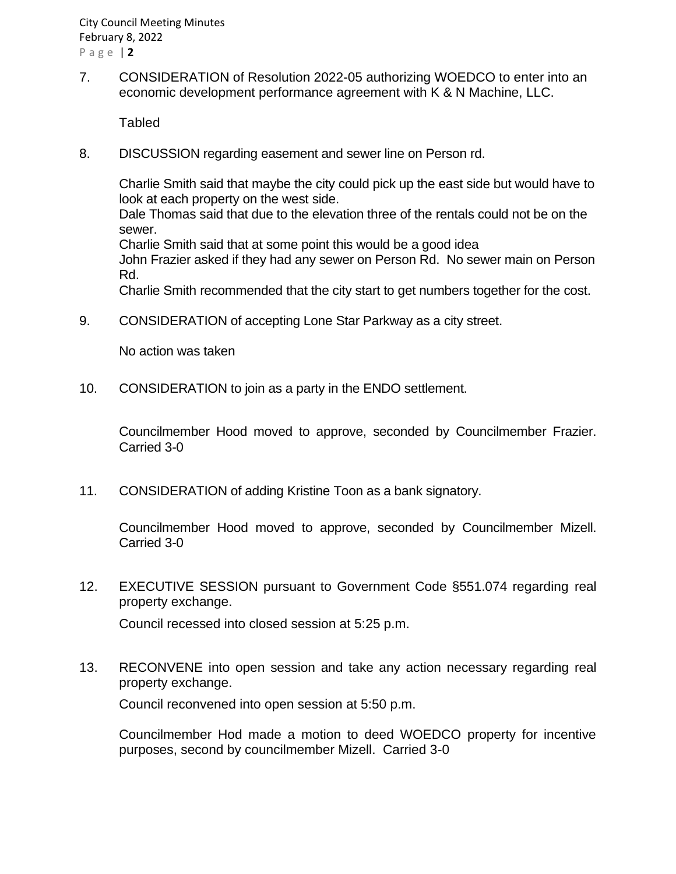7. CONSIDERATION of Resolution 2022-05 authorizing WOEDCO to enter into an economic development performance agreement with K & N Machine, LLC.

**Tabled** 

8. DISCUSSION regarding easement and sewer line on Person rd.

Charlie Smith said that maybe the city could pick up the east side but would have to look at each property on the west side.

Dale Thomas said that due to the elevation three of the rentals could not be on the sewer.

Charlie Smith said that at some point this would be a good idea

John Frazier asked if they had any sewer on Person Rd. No sewer main on Person Rd.

Charlie Smith recommended that the city start to get numbers together for the cost.

9. CONSIDERATION of accepting Lone Star Parkway as a city street.

No action was taken

10. CONSIDERATION to join as a party in the ENDO settlement.

Councilmember Hood moved to approve, seconded by Councilmember Frazier. Carried 3-0

11. CONSIDERATION of adding Kristine Toon as a bank signatory.

Councilmember Hood moved to approve, seconded by Councilmember Mizell. Carried 3-0

12. EXECUTIVE SESSION pursuant to Government Code §551.074 regarding real property exchange.

Council recessed into closed session at 5:25 p.m.

13. RECONVENE into open session and take any action necessary regarding real property exchange.

Council reconvened into open session at 5:50 p.m.

Councilmember Hod made a motion to deed WOEDCO property for incentive purposes, second by councilmember Mizell. Carried 3-0